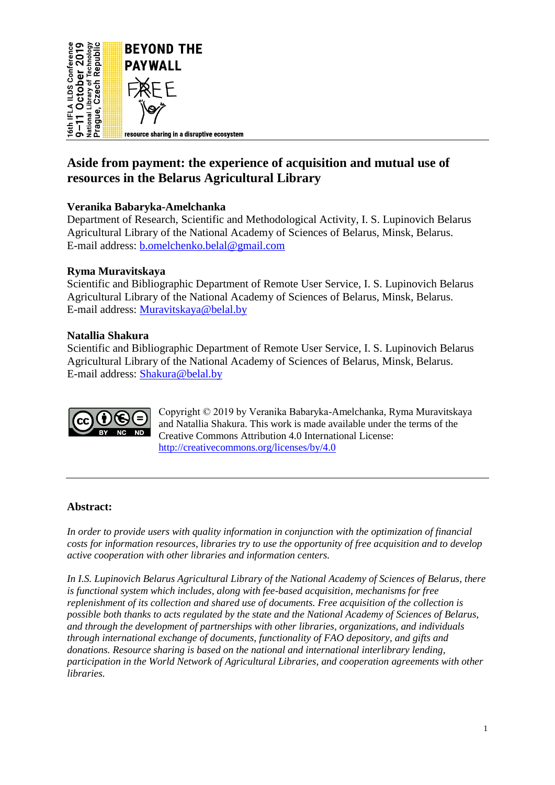

# **Aside from payment: the experience of acquisition and mutual use of resources in the Belarus Agricultural Library**

# **Veranika Babaryka-Amelchanka**

Department of Research, Scientific and Methodological Activity, I. S. Lupinovich Belarus Agricultural Library of the National Academy of Sciences of Belarus, Minsk, Belarus. E-mail address: [b.omelchenko.belal@gmail.com](mailto:b.omelchenko.belal@gmail.com)

# **Ryma Muravitskaya**

Scientific and Bibliographic Department of Remote User Service, I. S. Lupinovich Belarus Agricultural Library of the National Academy of Sciences of Belarus, Minsk, Belarus. E-mail address: [Muravitskaya@belal.by](mailto:Muravitskaya@belal.by)

### **Natallia Shakura**

Scientific and Bibliographic Department of Remote User Service, I. S. Lupinovich Belarus Agricultural Library of the National Academy of Sciences of Belarus, Minsk, Belarus. E-mail address: [Shakura@belal.by](mailto:Shakura@belal.by)



Copyright © 2019 by Veranika Babaryka-Amelchanka, Ryma Muravitskaya and Natallia Shakura. This work is made available under the terms of the Creative Commons Attribution 4.0 International License: <http://creativecommons.org/licenses/by/4.0>

# **Abstract:**

*In order to provide users with quality information in conjunction with the optimization of financial costs for information resources, libraries try to use the opportunity of free acquisition and to develop active cooperation with other libraries and information centers.*

*In I.S. Lupinovich Belarus Agricultural Library of the National Academy of Sciences of Belarus, there is functional system which includes, along with fee-based acquisition, mechanisms for free replenishment of its collection and shared use of documents. Free acquisition of the collection is possible both thanks to acts regulated by the state and the National Academy of Sciences of Belarus, and through the development of partnerships with other libraries, organizations, and individuals through international exchange of documents, functionality of FAO depository, and gifts and donations. Resource sharing is based on the national and international interlibrary lending, participation in the World Network of Agricultural Libraries, and cooperation agreements with other libraries.*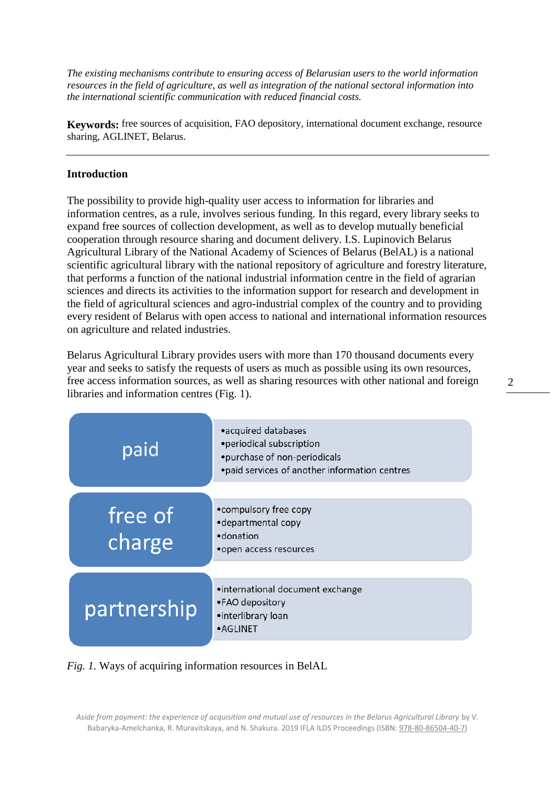*The existing mechanisms contribute to ensuring access of Belarusian users to the world information resources in the field of agriculture, as well as integration of the national sectoral information into the international scientific communication with reduced financial costs.*

**Keywords:** free sources of acquisition, FAO depository, international document exchange, resource sharing, AGLINET, Belarus.

#### **Introduction**

The possibility to provide high-quality user access to information for libraries and information centres, as a rule, involves serious funding. In this regard, every library seeks to expand free sources of collection development, as well as to develop mutually beneficial cooperation through resource sharing and document delivery. I.S. Lupinovich Belarus Agricultural Library of the National Academy of Sciences of Belarus (BelAL) is a national scientific agricultural library with the national repository of agriculture and forestry literature, that performs a function of the national industrial information centre in the field of agrarian sciences and directs its activities to the information support for research and development in the field of agricultural sciences and agro-industrial complex of the country and to providing every resident of Belarus with open access to national and international information resources on agriculture and related industries.

Belarus Agricultural Library provides users with more than 170 thousand documents every year and seeks to satisfy the requests of users as much as possible using its own resources, free access information sources, as well as sharing resources with other national and foreign libraries and information centres (Fig. 1).

| paid              | • acquired databases<br>• periodical subscription<br>•purchase of non-periodicals<br>• paid services of another information centres |
|-------------------|-------------------------------------------------------------------------------------------------------------------------------------|
| free of<br>charge | •compulsory free copy<br>•departmental copy<br>·donation<br>• open access resources                                                 |
| partnership       | •international document exchange<br>•FAO depository<br>•interlibrary loan<br>•AGLINET                                               |

*Fig. 1.* Ways of acquiring information resources in BelAL

Aside from payment: the experience of acquisition and mutual use of resources in the Belarus Agricultural Library by V. Babaryka-Amelchanka, R. Muravitskaya, and N. Shakura*.* 2019 IFLA ILDS Proceedings (ISBN[: 978-80-86504-40-7\)](https://www.techlib.cz/en/84026)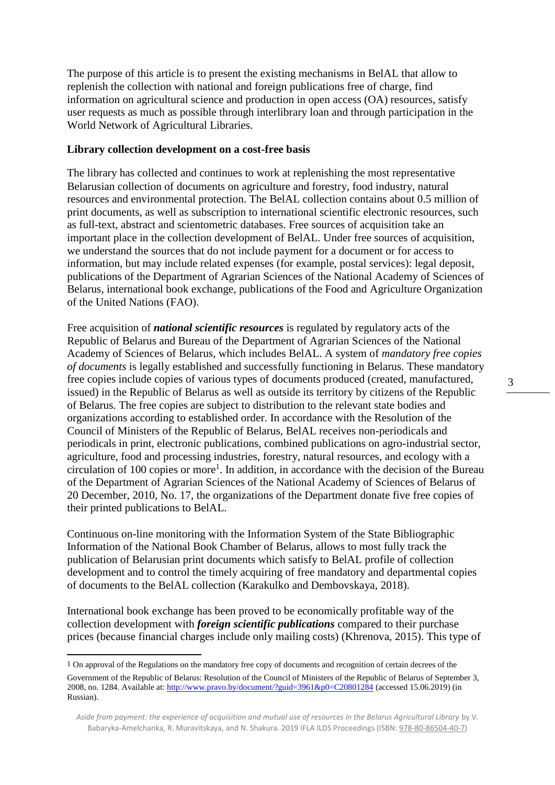The purpose of this article is to present the existing mechanisms in BelAL that allow to replenish the collection with national and foreign publications free of charge, find information on agricultural science and production in open access (OA) resources, satisfy user requests as much as possible through interlibrary loan and through participation in the World Network of Agricultural Libraries.

#### **Library collection development on a cost-free basis**

The library has collected and continues to work at replenishing the most representative Belarusian collection of documents on agriculture and forestry, food industry, natural resources and environmental protection. The BelAL collection contains about 0.5 million of print documents, as well as subscription to international scientific electronic resources, such as full-text, abstract and scientometric databases. Free sources of acquisition take an important place in the collection development of BelAL. Under free sources of acquisition, we understand the sources that do not include payment for a document or for access to information, but may include related expenses (for example, postal services): legal deposit, publications of the Department of Agrarian Sciences of the National Academy of Sciences of Belarus, international book exchange, publications of the Food and Agriculture Organization of the United Nations (FAO).

Free acquisition of *national scientific resources* is regulated by regulatory acts of the Republic of Belarus and Bureau of the Department of Agrarian Sciences of the National Academy of Sciences of Belarus, which includes BelAL. A system of *mandatory free copies of documents* is legally established and successfully functioning in Belarus. These mandatory free copies include copies of various types of documents produced (created, manufactured, issued) in the Republic of Belarus as well as outside its territory by citizens of the Republic of Belarus. The free copies are subject to distribution to the relevant state bodies and organizations according to established order. In accordance with the Resolution of the Council of Ministers of the Republic of Belarus, BelAL receives non-periodicals and periodicals in print, electronic publications, combined publications on agro-industrial sector, agriculture, food and processing industries, forestry, natural resources, and ecology with a circulation of 100 copies or more<sup>1</sup>. In addition, in accordance with the decision of the Bureau of the Department of Agrarian Sciences of the National Academy of Sciences of Belarus of 20 December, 2010, No. 17, the organizations of the Department donate five free copies of their printed publications to BelAL.

Continuous on-line monitoring with the Information System of the State Bibliographic Information of the National Book Chamber of Belarus, allows to most fully track the publication of Belarusian print documents which satisfy to BelAL profile of collection development and to control the timely acquiring of free mandatory and departmental copies of documents to the BelAL collection (Karakulko and Dembovskaya, 2018).

International book exchange has been proved to be economically profitable way of the collection development with *foreign scientific publications* compared to their purchase prices (because financial charges include only mailing costs) (Khrenova, 2015). This type of

 $\overline{a}$ 

3

<sup>1</sup> On approval of the Regulations on the mandatory free copy of documents and recognition of certain decrees of the Government of the Republic of Belarus: Resolution of the Council of Ministers of the Republic of Belarus of September 3, 2008, no. 1284. Available at:<http://www.pravo.by/document/?guid=3961&p0=C20801284> (accessed 15.06.2019) (in Russian).

*Aside from payment: the experience of acquisition and mutual use of resources in the Belarus Agricultural Library* by V. Babaryka-Amelchanka, R. Muravitskaya, and N. Shakura*.* 2019 IFLA ILDS Proceedings (ISBN[: 978-80-86504-40-7\)](https://www.techlib.cz/en/84026)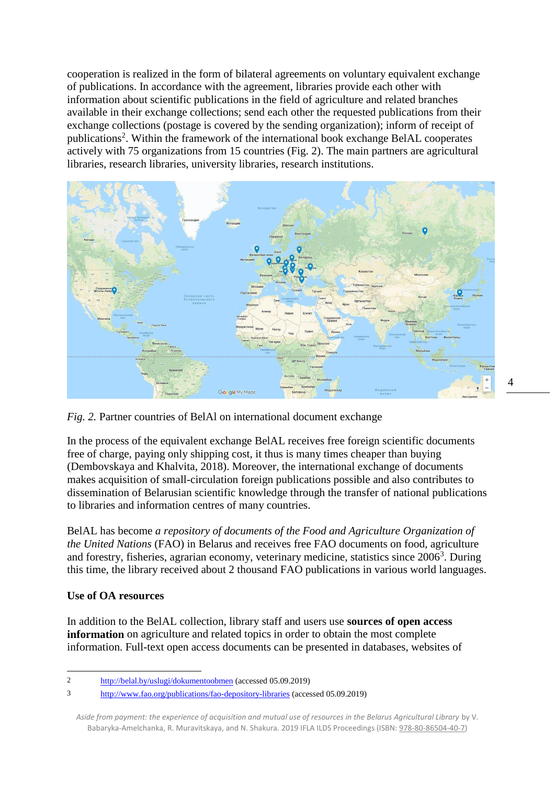cooperation is realized in the form of bilateral agreements on voluntary equivalent exchange of publications. In accordance with the agreement, libraries provide each other with information about scientific publications in the field of agriculture and related branches available in their exchange collections; send each other the requested publications from their exchange collections (postage is covered by the sending organization); inform of receipt of publications<sup>2</sup>. Within the framework of the international book exchange BelAL cooperates actively with 75 organizations from 15 countries (Fig. 2). The main partners are agricultural libraries, research libraries, university libraries, research institutions.



*Fig. 2.* Partner countries of BelAl on international document exchange

In the process of the equivalent exchange BelAL receives free foreign scientific documents free of charge, paying only shipping cost, it thus is many times cheaper than buying (Dembovskaya and Khalvita, 2018). Moreover, the international exchange of documents makes acquisition of small-circulation foreign publications possible and also contributes to dissemination of Belarusian scientific knowledge through the transfer of national publications to libraries and information centres of many countries.

BelAL has become *a repository of documents of the Food and Agriculture Organization of the United Nations* (FAO) in Belarus and receives free FAO documents on food, agriculture and forestry, fisheries, agrarian economy, veterinary medicine, statistics since 2006<sup>3</sup>. During this time, the library received about 2 thousand FAO publications in various world languages.

#### **Use of OA resources**

In addition to the BelAL collection, library staff and users use **sources of open access information** on agriculture and related topics in order to obtain the most complete information. Full-text open access documents can be presented in databases, websites of

Aside from payment: the experience of acquisition and mutual use of resources in the Belarus Agricultural Library by V. Babaryka-Amelchanka, R. Muravitskaya, and N. Shakura*.* 2019 IFLA ILDS Proceedings (ISBN[: 978-80-86504-40-7\)](https://www.techlib.cz/en/84026)

 $\overline{a}$ 2 <http://belal.by/uslugi/dokumentoobmen> (accessed 05.09.2019)

<sup>3</sup> <http://www.fao.org/publications/fao-depository-libraries> (accessed 05.09.2019)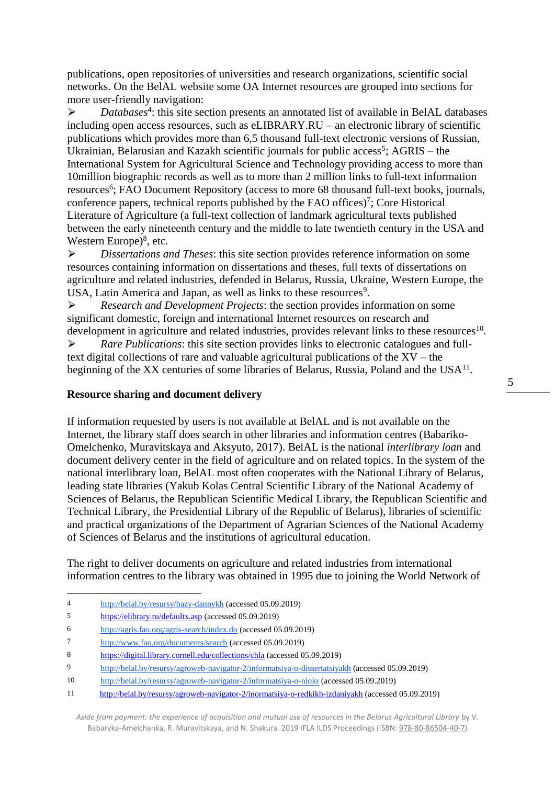publications, open repositories of universities and research organizations, scientific social networks. On the BelAL website some OA Internet resources are grouped into sections for more user-friendly navigation:

> *Databases<sup>4</sup>*: this site section presents an annotated list of available in BelAL databases including open access resources, such as eLIBRARY.RU – an electronic library of scientific publications which provides more than 6,5 thousand full-text electronic versions of Russian, Ukrainian, Belarusian and Kazakh scientific journals for public  $access<sup>5</sup>$ ; AGRIS – the International System for Agricultural Science and Technology providing access to more than 10million biographic records as well as to more than 2 million links to full-text information resources<sup>6</sup>; FAO Document Repository (access to more 68 thousand full-text books, journals, conference papers, technical reports published by the FAO offices)<sup>7</sup>; Core Historical Literature of Agriculture (a full-text collection of landmark agricultural texts published between the early nineteenth century and the middle to late twentieth century in the USA and Western Europe)<sup>8</sup>, etc.

⮚ *Dissertations and Theses*: this site section provides reference information on some resources containing information on dissertations and theses, full texts of dissertations on agriculture and related industries, defended in Belarus, Russia, Ukraine, Western Europe, the USA, Latin America and Japan, as well as links to these resources<sup>9</sup>.

⮚ *Research and Development Projects*: the section provides information on some significant domestic, foreign and international Internet resources on research and development in agriculture and related industries, provides relevant links to these resources<sup>10</sup>.

⮚ *Rare Publications*: this site section provides links to electronic catalogues and fulltext digital collections of rare and valuable agricultural publications of the XV – the beginning of the XX centuries of some libraries of Belarus, Russia, Poland and the USA<sup>11</sup>.

#### **Resource sharing and document delivery**

If information requested by users is not available at BelAL and is not available on the Internet, the library staff does search in other libraries and information centres (Babariko-Omelchenko, Muravitskaya and Aksyuto, 2017). BelAL is the national *interlibrary loan* and document delivery center in the field of agriculture and on related topics. In the system of the national interlibrary loan, BelAL most often cooperates with the National Library of Belarus, leading state libraries (Yakub Kolas Central Scientific Library of the National Academy of Sciences of Belarus, the Republican Scientific Medical Library, the Republican Scientific and Technical Library, the Presidential Library of the Republic of Belarus), libraries of scientific and practical organizations of the Department of Agrarian Sciences of the National Academy of Sciences of Belarus and the institutions of agricultural education.

The right to deliver documents on agriculture and related industries from international information centres to the library was obtained in 1995 due to joining the World Network of

 $\overline{a}$ 

<sup>4</sup> <http://belal.by/resursy/bazy-dannykh> (accessed 05.09.2019)

<sup>5</sup> <https://elibrary.ru/defaultx.asp> (accessed 05.09.2019)

<sup>6</sup> <http://agris.fao.org/agris-search/index.do> (accessed 05.09.2019)

<sup>7</sup> <http://www.fao.org/documents/search> (accessed 05.09.2019)

<sup>8</sup> <https://digital.library.cornell.edu/collections/chla> (accessed 05.09.2019)

<sup>9</sup> <http://belal.by/resursy/agroweb-navigator-2/informatsiya-o-dissertatsiyakh> (accessed 05.09.2019)

<sup>10</sup> <http://belal.by/resursy/agroweb-navigator-2/informatsiya-o-niokr> (accessed 05.09.2019)

<sup>11</sup> <http://belal.by/resursy/agroweb-navigator-2/inormatsiya-o-redkikh-izdaniyakh> (accessed 05.09.2019)

*Aside from payment: the experience of acquisition and mutual use of resources in the Belarus Agricultural Library* by V. Babaryka-Amelchanka, R. Muravitskaya, and N. Shakura*.* 2019 IFLA ILDS Proceedings (ISBN[: 978-80-86504-40-7\)](https://www.techlib.cz/en/84026)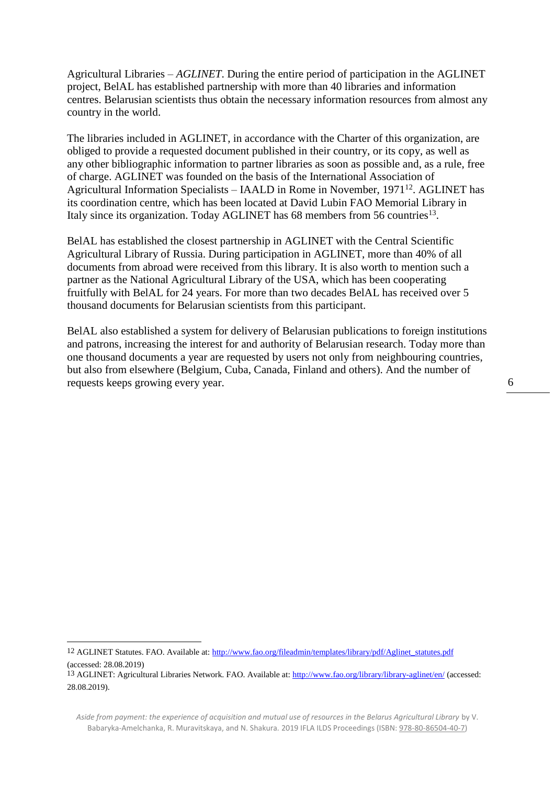Agricultural Libraries – *AGLINET*. During the entire period of participation in the AGLINET project, BelAL has established partnership with more than 40 libraries and information centres. Belarusian scientists thus obtain the necessary information resources from almost any country in the world.

The libraries included in AGLINET, in accordance with the Charter of this organization, are obliged to provide a requested document published in their country, or its copy, as well as any other bibliographic information to partner libraries as soon as possible and, as a rule, free of charge. AGLINET was founded on the basis of the International Association of Agricultural Information Specialists – IAALD in Rome in November, 1971<sup>12</sup>. AGLINET has its coordination centre, which has been located at David Lubin FAO Memorial Library in Italy since its organization. Today AGLINET has 68 members from 56 countries<sup>13</sup>.

BelAL has established the closest partnership in AGLINET with the Central Scientific Agricultural Library of Russia. During participation in AGLINET, more than 40% of all documents from abroad were received from this library. It is also worth to mention such a partner as the National Agricultural Library of the USA, which has been cooperating fruitfully with BelAL for 24 years. For more than two decades BelAL has received over 5 thousand documents for Belarusian scientists from this participant.

BelAL also established a system for delivery of Belarusian publications to foreign institutions and patrons, increasing the interest for and authority of Belarusian research. Today more than one thousand documents a year are requested by users not only from neighbouring countries, but also from elsewhere (Belgium, Cuba, Canada, Finland and others). And the number of requests keeps growing every year.

12 AGLINET Statutes. FAO. Available at[: http://www.fao.org/fileadmin/templates/library/pdf/Aglinet\\_statutes.pdf](http://www.fao.org/fileadmin/templates/library/pdf/Aglinet_statutes.pdf) (accessed: 28.08.2019)

 $\overline{a}$ 

13 AGLINET: Agricultural Libraries Network. FAO. Available at:<http://www.fao.org/library/library-aglinet/en/> (accessed: 28.08.2019).

*Aside from payment: the experience of acquisition and mutual use of resources in the Belarus Agricultural Library* by V. Babaryka-Amelchanka, R. Muravitskaya, and N. Shakura*.* 2019 IFLA ILDS Proceedings (ISBN[: 978-80-86504-40-7\)](https://www.techlib.cz/en/84026)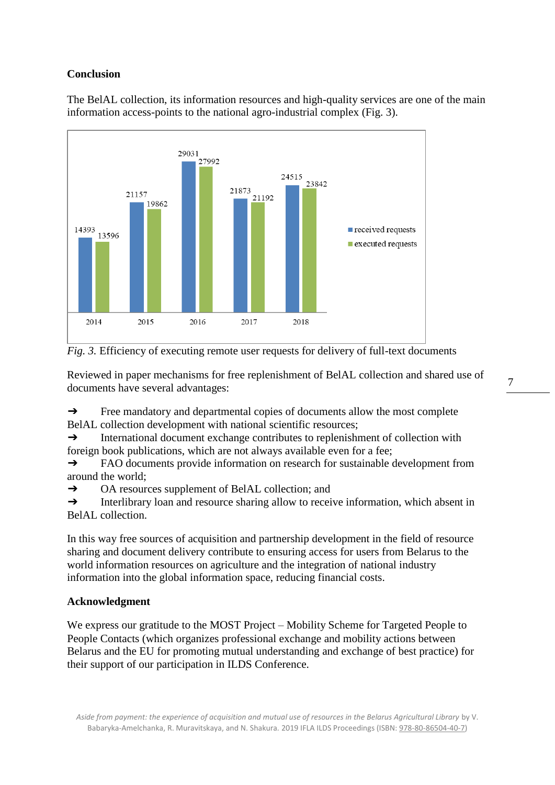# **Conclusion**

The BelAL collection, its information resources and high-quality services are one of the main information access-points to the national agro-industrial complex (Fig. 3).





Reviewed in paper mechanisms for free replenishment of BelAL collection and shared use of documents have several advantages:

➔ Free mandatory and departmental copies of documents allow the most complete BelAL collection development with national scientific resources;

 $\rightarrow$  International document exchange contributes to replenishment of collection with foreign book publications, which are not always available even for a fee;

➔ FAO documents provide information on research for sustainable development from around the world;

➔ OA resources supplement of BelAL collection; and

→ Interlibrary loan and resource sharing allow to receive information, which absent in BelAL collection.

In this way free sources of acquisition and partnership development in the field of resource sharing and document delivery contribute to ensuring access for users from Belarus to the world information resources on agriculture and the integration of national industry information into the global information space, reducing financial costs.

# **Acknowledgment**

We express our gratitude to the MOST Project – Mobility Scheme for Targeted People to People Contacts (which organizes professional exchange and mobility actions between Belarus and the EU for promoting mutual understanding and exchange of best practice) for their support of our participation in ILDS Conference.

Aside from payment: the experience of acquisition and mutual use of resources in the Belarus Agricultural Library by V. Babaryka-Amelchanka, R. Muravitskaya, and N. Shakura*.* 2019 IFLA ILDS Proceedings (ISBN[: 978-80-86504-40-7\)](https://www.techlib.cz/en/84026)